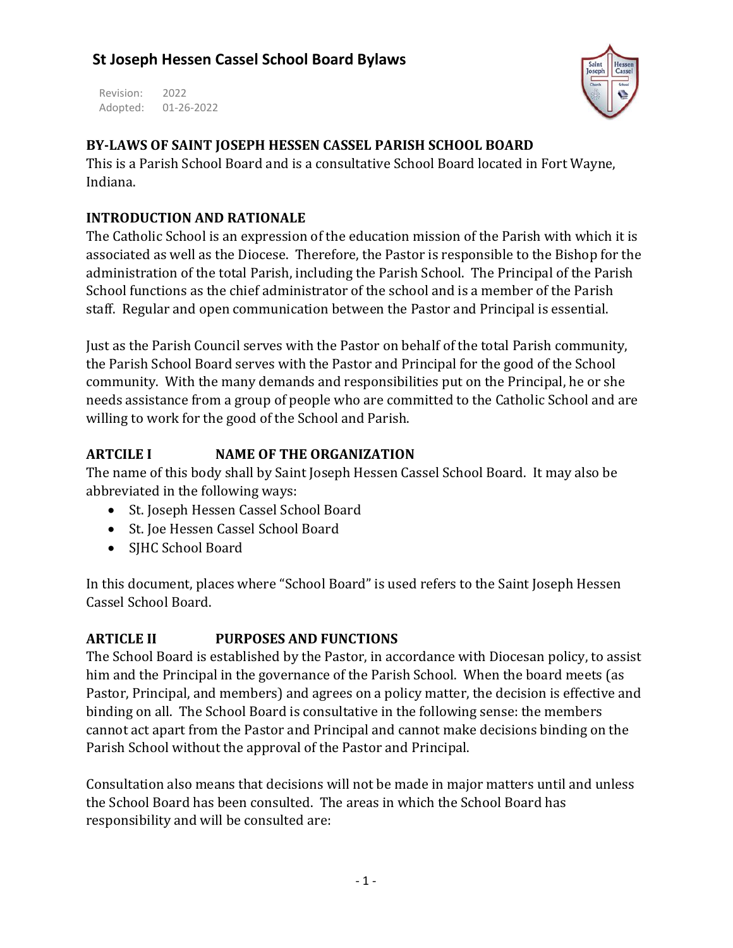Revision: 2022 Adopted: 01-26-2022



### **BY-LAWS OF SAINT JOSEPH HESSEN CASSEL PARISH SCHOOL BOARD**

This is a Parish School Board and is a consultative School Board located in Fort Wayne, Indiana.

### **INTRODUCTION AND RATIONALE**

The Catholic School is an expression of the education mission of the Parish with which it is associated as well as the Diocese. Therefore, the Pastor is responsible to the Bishop for the administration of the total Parish, including the Parish School. The Principal of the Parish School functions as the chief administrator of the school and is a member of the Parish staff. Regular and open communication between the Pastor and Principal is essential.

Just as the Parish Council serves with the Pastor on behalf of the total Parish community, the Parish School Board serves with the Pastor and Principal for the good of the School community. With the many demands and responsibilities put on the Principal, he or she needs assistance from a group of people who are committed to the Catholic School and are willing to work for the good of the School and Parish.

### **ARTCILE I NAME OF THE ORGANIZATION**

The name of this body shall by Saint Joseph Hessen Cassel School Board. It may also be abbreviated in the following ways:

- St. Joseph Hessen Cassel School Board
- St. Joe Hessen Cassel School Board
- SJHC School Board

In this document, places where "School Board" is used refers to the Saint Joseph Hessen Cassel School Board.

# **ARTICLE II PURPOSES AND FUNCTIONS**

The School Board is established by the Pastor, in accordance with Diocesan policy, to assist him and the Principal in the governance of the Parish School. When the board meets (as Pastor, Principal, and members) and agrees on a policy matter, the decision is effective and binding on all. The School Board is consultative in the following sense: the members cannot act apart from the Pastor and Principal and cannot make decisions binding on the Parish School without the approval of the Pastor and Principal.

Consultation also means that decisions will not be made in major matters until and unless the School Board has been consulted. The areas in which the School Board has responsibility and will be consulted are: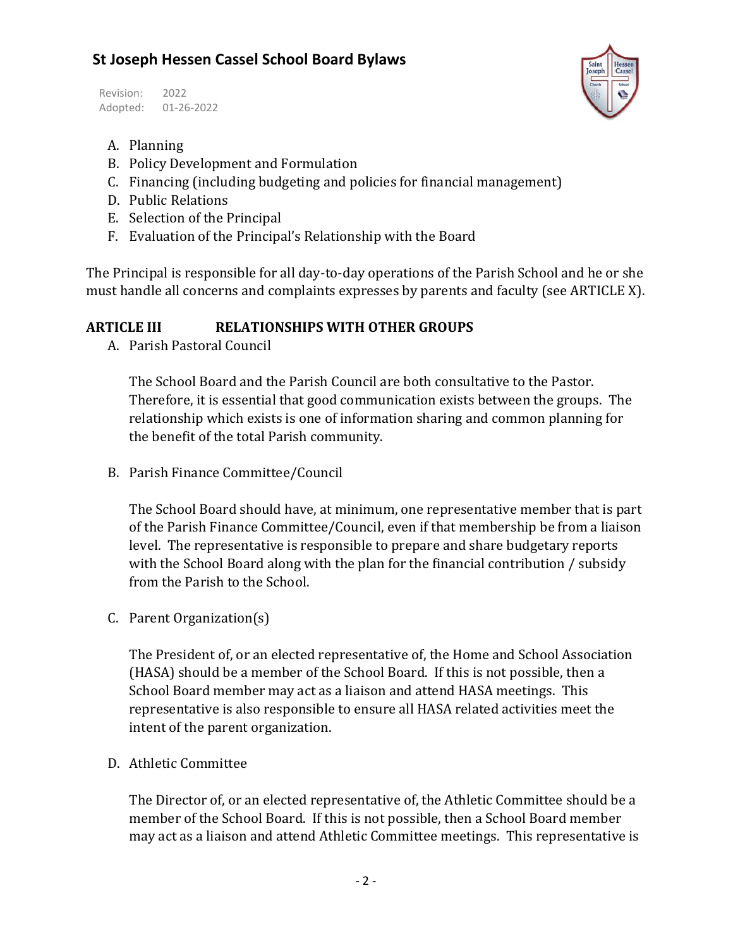Revision: 2022 Adopted: 01-26-2022



- A. Planning
- B. Policy Development and Formulation
- C. Financing (including budgeting and policies for financial management)
- D. Public Relations
- E. Selection of the Principal
- F. Evaluation of the Principal's Relationship with the Board

The Principal is responsible for all day-to-day operations of the Parish School and he or she must handle all concerns and complaints expresses by parents and faculty (see ARTICLE X).

#### **ARTICLE III RELATIONSHIPS WITH OTHER GROUPS**

A. Parish Pastoral Council

The School Board and the Parish Council are both consultative to the Pastor. Therefore, it is essential that good communication exists between the groups. The relationship which exists is one of information sharing and common planning for the benefit of the total Parish community.

B. Parish Finance Committee/Council

The School Board should have, at minimum, one representative member that is part of the Parish Finance Committee/Council, even if that membership be from a liaison level. The representative is responsible to prepare and share budgetary reports with the School Board along with the plan for the financial contribution / subsidy from the Parish to the School.

C. Parent Organization(s)

The President of, or an elected representative of, the Home and School Association (HASA) should be a member of the School Board. If this is not possible, then a School Board member may act as a liaison and attend HASA meetings. This representative is also responsible to ensure all HASA related activities meet the intent of the parent organization.

D. Athletic Committee

The Director of, or an elected representative of, the Athletic Committee should be a member of the School Board. If this is not possible, then a School Board member may act as a liaison and attend Athletic Committee meetings. This representative is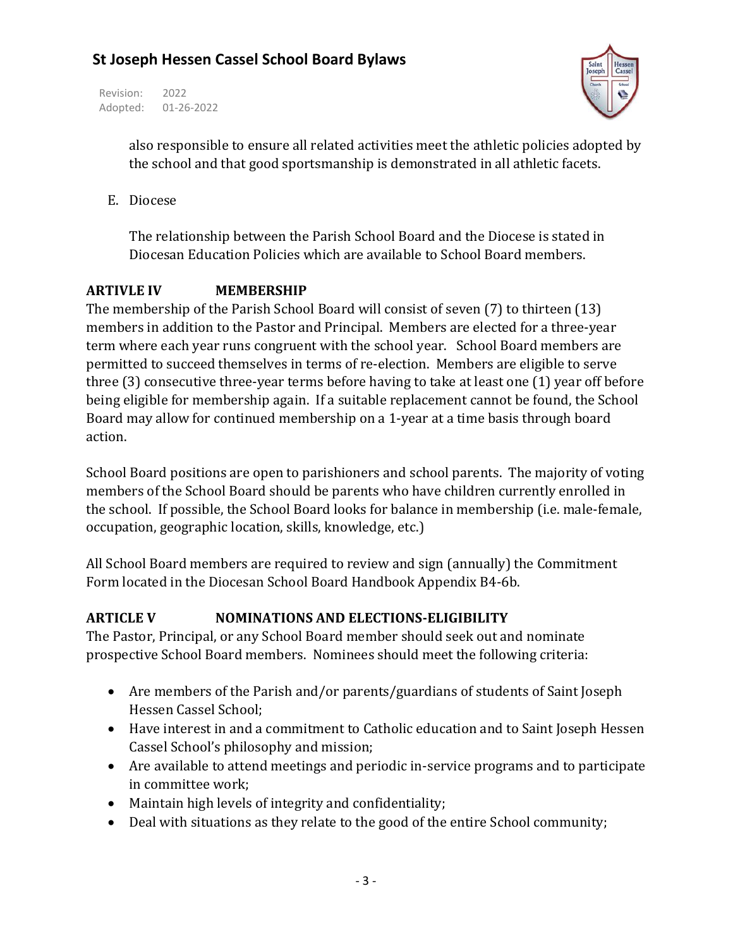Revision: 2022 Adopted: 01-26-2022



also responsible to ensure all related activities meet the athletic policies adopted by the school and that good sportsmanship is demonstrated in all athletic facets.

E. Diocese

The relationship between the Parish School Board and the Diocese is stated in Diocesan Education Policies which are available to School Board members.

### **ARTIVLE IV MEMBERSHIP**

The membership of the Parish School Board will consist of seven (7) to thirteen (13) members in addition to the Pastor and Principal. Members are elected for a three-year term where each year runs congruent with the school year. School Board members are permitted to succeed themselves in terms of re-election. Members are eligible to serve three (3) consecutive three-year terms before having to take at least one (1) year off before being eligible for membership again. If a suitable replacement cannot be found, the School Board may allow for continued membership on a 1-year at a time basis through board action.

School Board positions are open to parishioners and school parents. The majority of voting members of the School Board should be parents who have children currently enrolled in the school. If possible, the School Board looks for balance in membership (i.e. male-female, occupation, geographic location, skills, knowledge, etc.)

All School Board members are required to review and sign (annually) the Commitment Form located in the Diocesan School Board Handbook Appendix B4-6b.

### **ARTICLE V NOMINATIONS AND ELECTIONS-ELIGIBILITY**

The Pastor, Principal, or any School Board member should seek out and nominate prospective School Board members. Nominees should meet the following criteria:

- Are members of the Parish and/or parents/guardians of students of Saint Joseph Hessen Cassel School;
- Have interest in and a commitment to Catholic education and to Saint Joseph Hessen Cassel School's philosophy and mission;
- Are available to attend meetings and periodic in-service programs and to participate in committee work;
- Maintain high levels of integrity and confidentiality;
- Deal with situations as they relate to the good of the entire School community;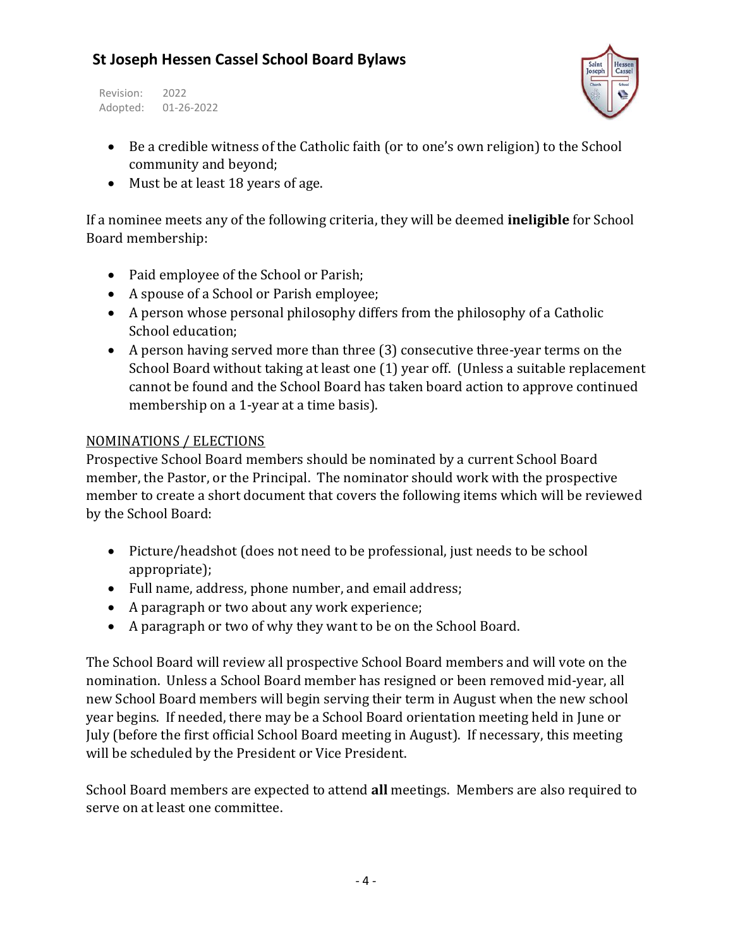Revision: 2022 Adopted: 01-26-2022



- Be a credible witness of the Catholic faith (or to one's own religion) to the School community and beyond;
- Must be at least 18 years of age.

If a nominee meets any of the following criteria, they will be deemed **ineligible** for School Board membership:

- Paid employee of the School or Parish;
- A spouse of a School or Parish employee;
- A person whose personal philosophy differs from the philosophy of a Catholic School education;
- A person having served more than three (3) consecutive three-year terms on the School Board without taking at least one (1) year off. (Unless a suitable replacement cannot be found and the School Board has taken board action to approve continued membership on a 1-year at a time basis).

#### NOMINATIONS / ELECTIONS

Prospective School Board members should be nominated by a current School Board member, the Pastor, or the Principal. The nominator should work with the prospective member to create a short document that covers the following items which will be reviewed by the School Board:

- Picture/headshot (does not need to be professional, just needs to be school appropriate);
- Full name, address, phone number, and email address;
- A paragraph or two about any work experience;
- A paragraph or two of why they want to be on the School Board.

The School Board will review all prospective School Board members and will vote on the nomination. Unless a School Board member has resigned or been removed mid-year, all new School Board members will begin serving their term in August when the new school year begins. If needed, there may be a School Board orientation meeting held in June or July (before the first official School Board meeting in August). If necessary, this meeting will be scheduled by the President or Vice President.

School Board members are expected to attend **all** meetings. Members are also required to serve on at least one committee.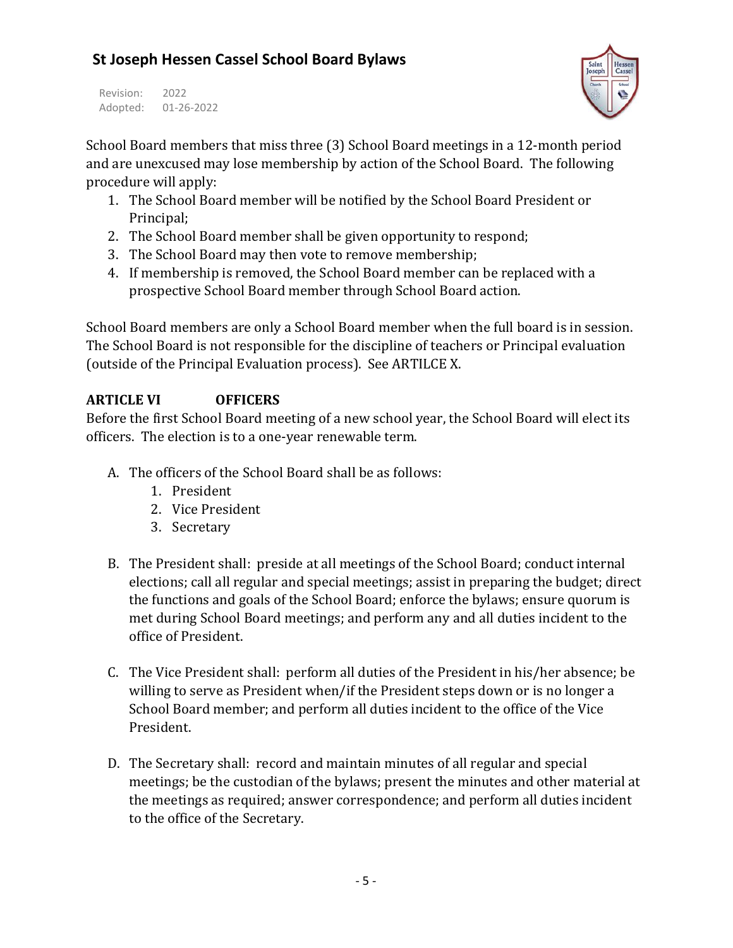Revision: 2022 Adopted: 01-26-2022



School Board members that miss three (3) School Board meetings in a 12-month period and are unexcused may lose membership by action of the School Board. The following procedure will apply:

- 1. The School Board member will be notified by the School Board President or Principal;
- 2. The School Board member shall be given opportunity to respond;
- 3. The School Board may then vote to remove membership;
- 4. If membership is removed, the School Board member can be replaced with a prospective School Board member through School Board action.

School Board members are only a School Board member when the full board is in session. The School Board is not responsible for the discipline of teachers or Principal evaluation (outside of the Principal Evaluation process). See ARTILCE X.

### **ARTICLE VI OFFICERS**

Before the first School Board meeting of a new school year, the School Board will elect its officers. The election is to a one-year renewable term.

- A. The officers of the School Board shall be as follows:
	- 1. President
	- 2. Vice President
	- 3. Secretary
- B. The President shall: preside at all meetings of the School Board; conduct internal elections; call all regular and special meetings; assist in preparing the budget; direct the functions and goals of the School Board; enforce the bylaws; ensure quorum is met during School Board meetings; and perform any and all duties incident to the office of President.
- C. The Vice President shall: perform all duties of the President in his/her absence; be willing to serve as President when/if the President steps down or is no longer a School Board member; and perform all duties incident to the office of the Vice President.
- D. The Secretary shall: record and maintain minutes of all regular and special meetings; be the custodian of the bylaws; present the minutes and other material at the meetings as required; answer correspondence; and perform all duties incident to the office of the Secretary.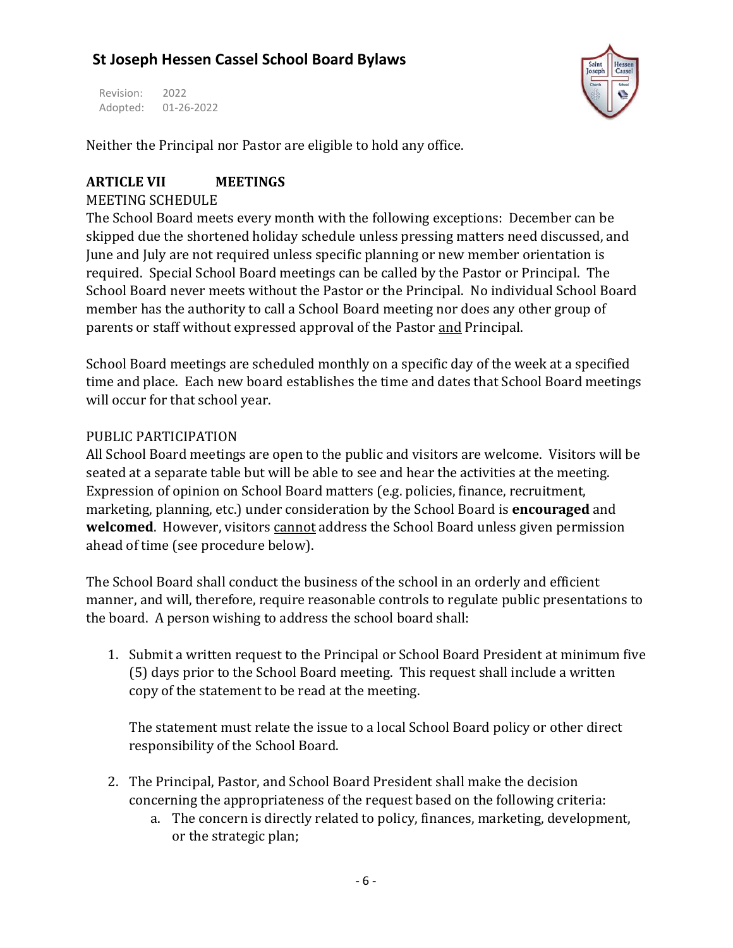Revision: 2022 Adopted: 01-26-2022



Neither the Principal nor Pastor are eligible to hold any office.

#### **ARTICLE VII MEETINGS**

#### MEETING SCHEDULE

The School Board meets every month with the following exceptions: December can be skipped due the shortened holiday schedule unless pressing matters need discussed, and June and July are not required unless specific planning or new member orientation is required. Special School Board meetings can be called by the Pastor or Principal. The School Board never meets without the Pastor or the Principal. No individual School Board member has the authority to call a School Board meeting nor does any other group of parents or staff without expressed approval of the Pastor and Principal.

School Board meetings are scheduled monthly on a specific day of the week at a specified time and place. Each new board establishes the time and dates that School Board meetings will occur for that school year.

#### PUBLIC PARTICIPATION

All School Board meetings are open to the public and visitors are welcome. Visitors will be seated at a separate table but will be able to see and hear the activities at the meeting. Expression of opinion on School Board matters (e.g. policies, finance, recruitment, marketing, planning, etc.) under consideration by the School Board is **encouraged** and **welcomed**. However, visitors cannot address the School Board unless given permission ahead of time (see procedure below).

The School Board shall conduct the business of the school in an orderly and efficient manner, and will, therefore, require reasonable controls to regulate public presentations to the board. A person wishing to address the school board shall:

1. Submit a written request to the Principal or School Board President at minimum five (5) days prior to the School Board meeting. This request shall include a written copy of the statement to be read at the meeting.

The statement must relate the issue to a local School Board policy or other direct responsibility of the School Board.

- 2. The Principal, Pastor, and School Board President shall make the decision concerning the appropriateness of the request based on the following criteria:
	- a. The concern is directly related to policy, finances, marketing, development, or the strategic plan;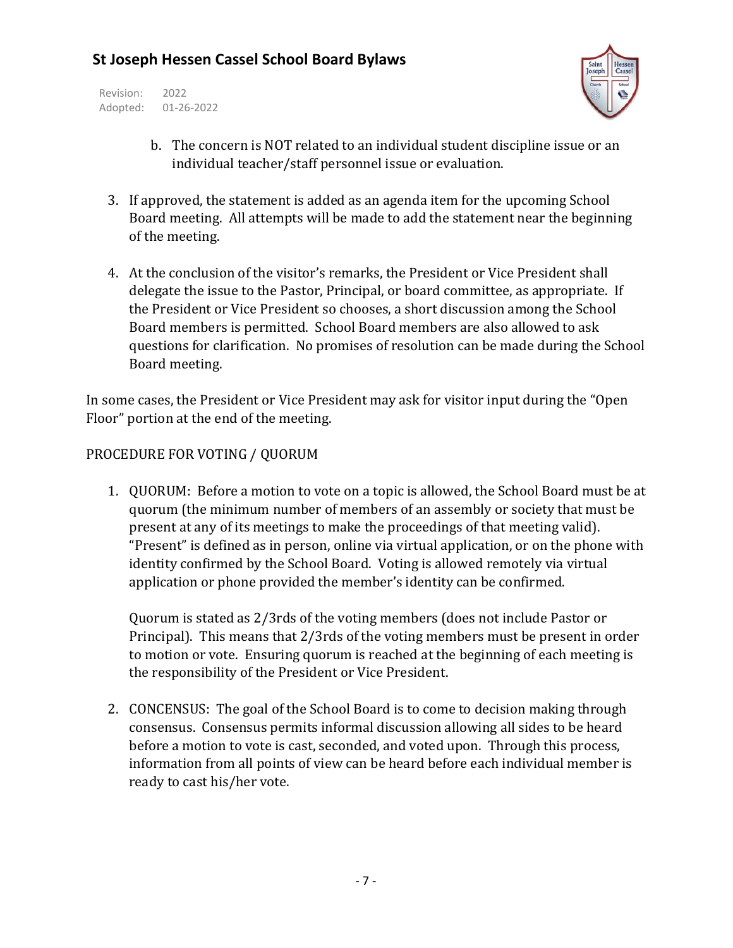Revision: 2022 Adopted: 01-26-2022



- b. The concern is NOT related to an individual student discipline issue or an individual teacher/staff personnel issue or evaluation.
- 3. If approved, the statement is added as an agenda item for the upcoming School Board meeting. All attempts will be made to add the statement near the beginning of the meeting.
- 4. At the conclusion of the visitor's remarks, the President or Vice President shall delegate the issue to the Pastor, Principal, or board committee, as appropriate. If the President or Vice President so chooses, a short discussion among the School Board members is permitted. School Board members are also allowed to ask questions for clarification. No promises of resolution can be made during the School Board meeting.

In some cases, the President or Vice President may ask for visitor input during the "Open Floor" portion at the end of the meeting.

#### PROCEDURE FOR VOTING / QUORUM

1. QUORUM: Before a motion to vote on a topic is allowed, the School Board must be at quorum (the minimum number of members of an assembly or society that must be present at any of its meetings to make the proceedings of that meeting valid). "Present" is defined as in person, online via virtual application, or on the phone with identity confirmed by the School Board. Voting is allowed remotely via virtual application or phone provided the member's identity can be confirmed.

Quorum is stated as 2/3rds of the voting members (does not include Pastor or Principal). This means that 2/3rds of the voting members must be present in order to motion or vote. Ensuring quorum is reached at the beginning of each meeting is the responsibility of the President or Vice President.

2. CONCENSUS: The goal of the School Board is to come to decision making through consensus. Consensus permits informal discussion allowing all sides to be heard before a motion to vote is cast, seconded, and voted upon. Through this process, information from all points of view can be heard before each individual member is ready to cast his/her vote.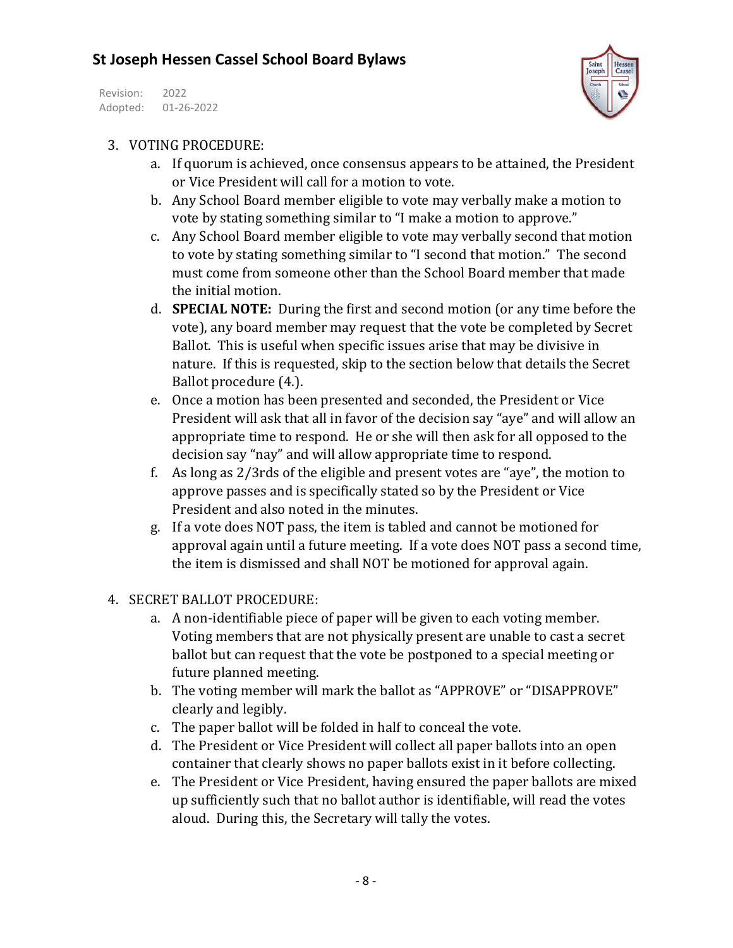Revision: 2022 Adopted: 01-26-2022



#### 3. VOTING PROCEDURE:

- a. If quorum is achieved, once consensus appears to be attained, the President or Vice President will call for a motion to vote.
- b. Any School Board member eligible to vote may verbally make a motion to vote by stating something similar to "I make a motion to approve."
- c. Any School Board member eligible to vote may verbally second that motion to vote by stating something similar to "I second that motion." The second must come from someone other than the School Board member that made the initial motion.
- d. **SPECIAL NOTE:** During the first and second motion (or any time before the vote), any board member may request that the vote be completed by Secret Ballot. This is useful when specific issues arise that may be divisive in nature. If this is requested, skip to the section below that details the Secret Ballot procedure (4.).
- e. Once a motion has been presented and seconded, the President or Vice President will ask that all in favor of the decision say "aye" and will allow an appropriate time to respond. He or she will then ask for all opposed to the decision say "nay" and will allow appropriate time to respond.
- f. As long as 2/3rds of the eligible and present votes are "aye", the motion to approve passes and is specifically stated so by the President or Vice President and also noted in the minutes.
- g. If a vote does NOT pass, the item is tabled and cannot be motioned for approval again until a future meeting. If a vote does NOT pass a second time, the item is dismissed and shall NOT be motioned for approval again.
- 4. SECRET BALLOT PROCEDURE:
	- a. A non-identifiable piece of paper will be given to each voting member. Voting members that are not physically present are unable to cast a secret ballot but can request that the vote be postponed to a special meeting or future planned meeting.
	- b. The voting member will mark the ballot as "APPROVE" or "DISAPPROVE" clearly and legibly.
	- c. The paper ballot will be folded in half to conceal the vote.
	- d. The President or Vice President will collect all paper ballots into an open container that clearly shows no paper ballots exist in it before collecting.
	- e. The President or Vice President, having ensured the paper ballots are mixed up sufficiently such that no ballot author is identifiable, will read the votes aloud. During this, the Secretary will tally the votes.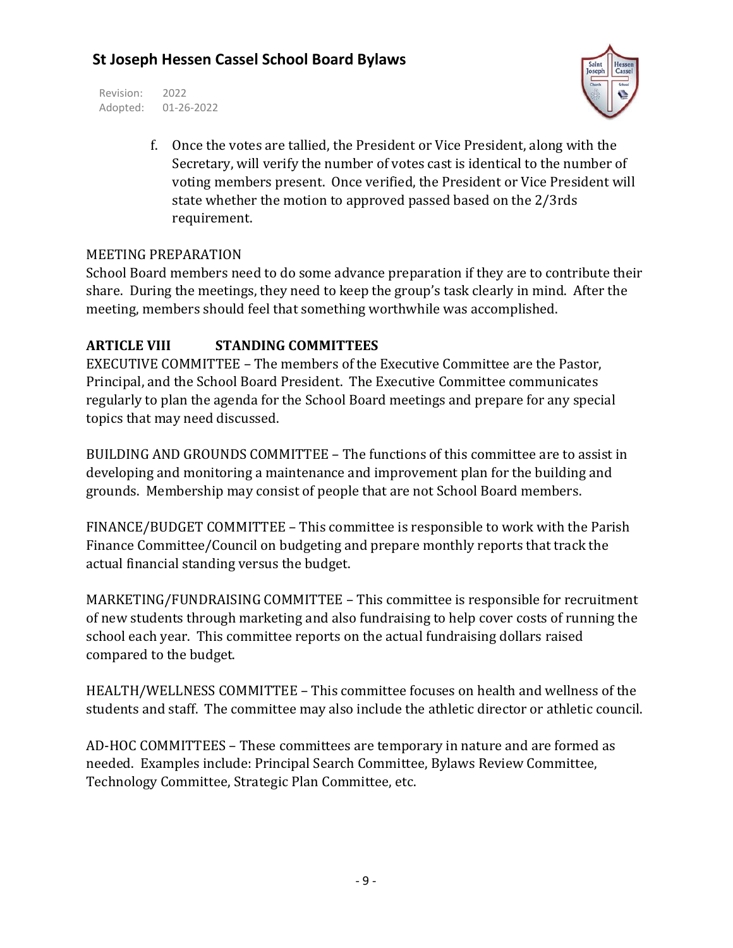Revision: 2022 Adopted: 01-26-2022



f. Once the votes are tallied, the President or Vice President, along with the Secretary, will verify the number of votes cast is identical to the number of voting members present. Once verified, the President or Vice President will state whether the motion to approved passed based on the 2/3rds requirement.

#### MEETING PREPARATION

School Board members need to do some advance preparation if they are to contribute their share. During the meetings, they need to keep the group's task clearly in mind. After the meeting, members should feel that something worthwhile was accomplished.

#### **ARTICLE VIII STANDING COMMITTEES**

EXECUTIVE COMMITTEE – The members of the Executive Committee are the Pastor, Principal, and the School Board President. The Executive Committee communicates regularly to plan the agenda for the School Board meetings and prepare for any special topics that may need discussed.

BUILDING AND GROUNDS COMMITTEE – The functions of this committee are to assist in developing and monitoring a maintenance and improvement plan for the building and grounds. Membership may consist of people that are not School Board members.

FINANCE/BUDGET COMMITTEE – This committee is responsible to work with the Parish Finance Committee/Council on budgeting and prepare monthly reports that track the actual financial standing versus the budget.

MARKETING/FUNDRAISING COMMITTEE – This committee is responsible for recruitment of new students through marketing and also fundraising to help cover costs of running the school each year. This committee reports on the actual fundraising dollars raised compared to the budget.

HEALTH/WELLNESS COMMITTEE – This committee focuses on health and wellness of the students and staff. The committee may also include the athletic director or athletic council.

AD-HOC COMMITTEES – These committees are temporary in nature and are formed as needed. Examples include: Principal Search Committee, Bylaws Review Committee, Technology Committee, Strategic Plan Committee, etc.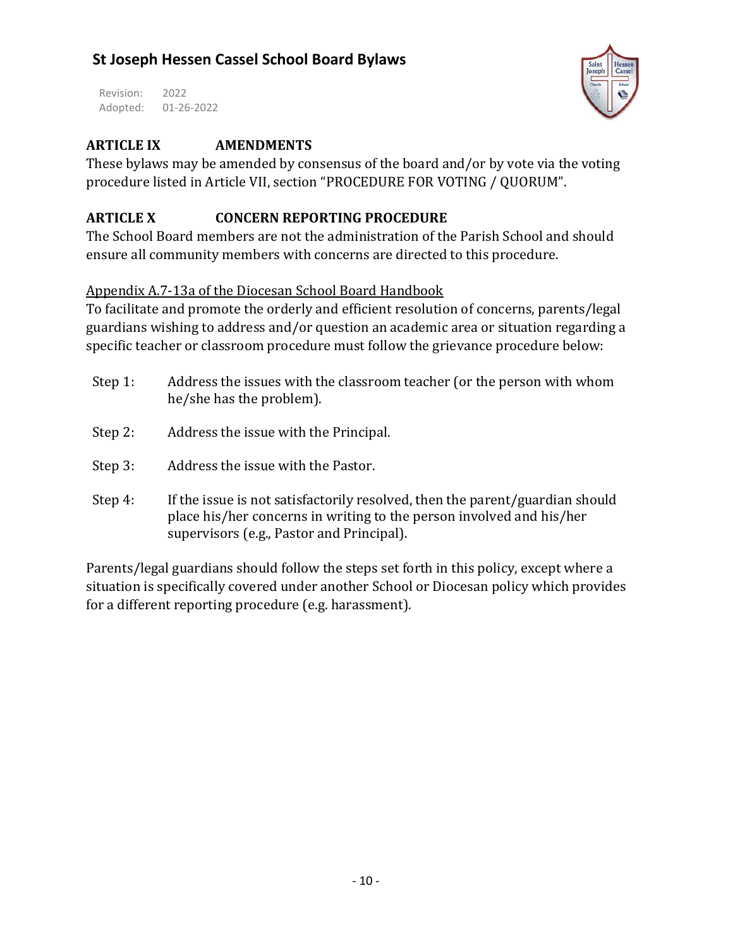Revision: 2022 Adopted: 01-26-2022



#### **ARTICLE IX AMENDMENTS**

These bylaws may be amended by consensus of the board and/or by vote via the voting procedure listed in Article VII, section "PROCEDURE FOR VOTING / QUORUM".

#### **ARTICLE X CONCERN REPORTING PROCEDURE**

The School Board members are not the administration of the Parish School and should ensure all community members with concerns are directed to this procedure.

#### Appendix A.7-13a of the Diocesan School Board Handbook

To facilitate and promote the orderly and efficient resolution of concerns, parents/legal guardians wishing to address and/or question an academic area or situation regarding a specific teacher or classroom procedure must follow the grievance procedure below:

- Step 1: Address the issues with the classroom teacher (or the person with whom he/she has the problem).
- Step 2: Address the issue with the Principal.
- Step 3: Address the issue with the Pastor.
- Step 4: If the issue is not satisfactorily resolved, then the parent/guardian should place his/her concerns in writing to the person involved and his/her supervisors (e.g., Pastor and Principal).

Parents/legal guardians should follow the steps set forth in this policy, except where a situation is specifically covered under another School or Diocesan policy which provides for a different reporting procedure (e.g. harassment).